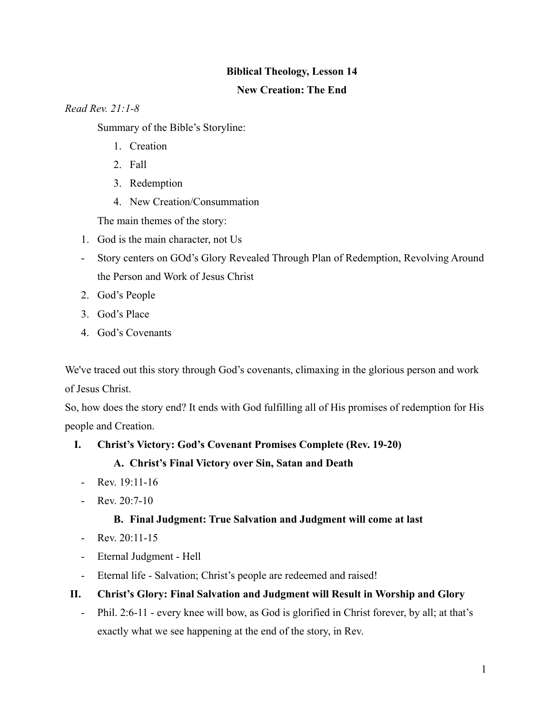## **Biblical Theology, Lesson 14**

## **New Creation: The End**

## *Read Rev. 21:1-8*

Summary of the Bible's Storyline:

- 1. Creation
- 2. Fall
- 3. Redemption
- 4. New Creation/Consummation

The main themes of the story:

- 1. God is the main character, not Us
- Story centers on GOd's Glory Revealed Through Plan of Redemption, Revolving Around the Person and Work of Jesus Christ
- 2. God's People
- 3. God's Place
- 4. God's Covenants

We've traced out this story through God's covenants, climaxing in the glorious person and work of Jesus Christ.

So, how does the story end? It ends with God fulfilling all of His promises of redemption for His people and Creation.

- **I. Christ's Victory: God's Covenant Promises Complete (Rev. 19-20)**
	- **A. Christ's Final Victory over Sin, Satan and Death**
	- Rev.  $19:11-16$
	- Rev. 20:7-10

# **B. Final Judgment: True Salvation and Judgment will come at last**

- Rev.  $20:11-15$
- Eternal Judgment Hell
- Eternal life Salvation; Christ's people are redeemed and raised!
- **II. Christ's Glory: Final Salvation and Judgment will Result in Worship and Glory**
	- Phil. 2:6-11 every knee will bow, as God is glorified in Christ forever, by all; at that's exactly what we see happening at the end of the story, in Rev.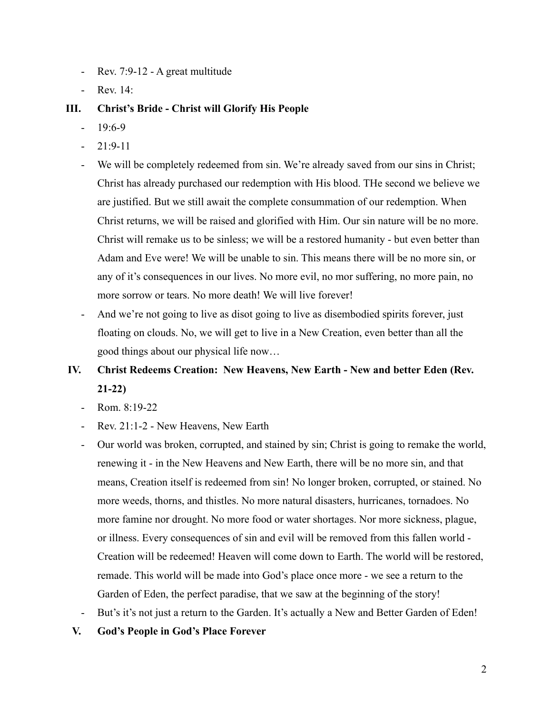- Rev. 7:9-12 A great multitude
- Rev. 14:

## **III. Christ's Bride - Christ will Glorify His People**

- $19:6-9$
- $21:9-11$
- We will be completely redeemed from sin. We're already saved from our sins in Christ; Christ has already purchased our redemption with His blood. THe second we believe we are justified. But we still await the complete consummation of our redemption. When Christ returns, we will be raised and glorified with Him. Our sin nature will be no more. Christ will remake us to be sinless; we will be a restored humanity - but even better than Adam and Eve were! We will be unable to sin. This means there will be no more sin, or any of it's consequences in our lives. No more evil, no mor suffering, no more pain, no more sorrow or tears. No more death! We will live forever!
- And we're not going to live as disot going to live as disembodied spirits forever, just floating on clouds. No, we will get to live in a New Creation, even better than all the good things about our physical life now…

# **IV. Christ Redeems Creation: New Heavens, New Earth - New and better Eden (Rev. 21-22)**

- Rom. 8:19-22
- Rev. 21:1-2 New Heavens, New Earth
- Our world was broken, corrupted, and stained by sin; Christ is going to remake the world, renewing it - in the New Heavens and New Earth, there will be no more sin, and that means, Creation itself is redeemed from sin! No longer broken, corrupted, or stained. No more weeds, thorns, and thistles. No more natural disasters, hurricanes, tornadoes. No more famine nor drought. No more food or water shortages. Nor more sickness, plague, or illness. Every consequences of sin and evil will be removed from this fallen world - Creation will be redeemed! Heaven will come down to Earth. The world will be restored, remade. This world will be made into God's place once more - we see a return to the Garden of Eden, the perfect paradise, that we saw at the beginning of the story!
- But's it's not just a return to the Garden. It's actually a New and Better Garden of Eden!
- **V. God's People in God's Place Forever**